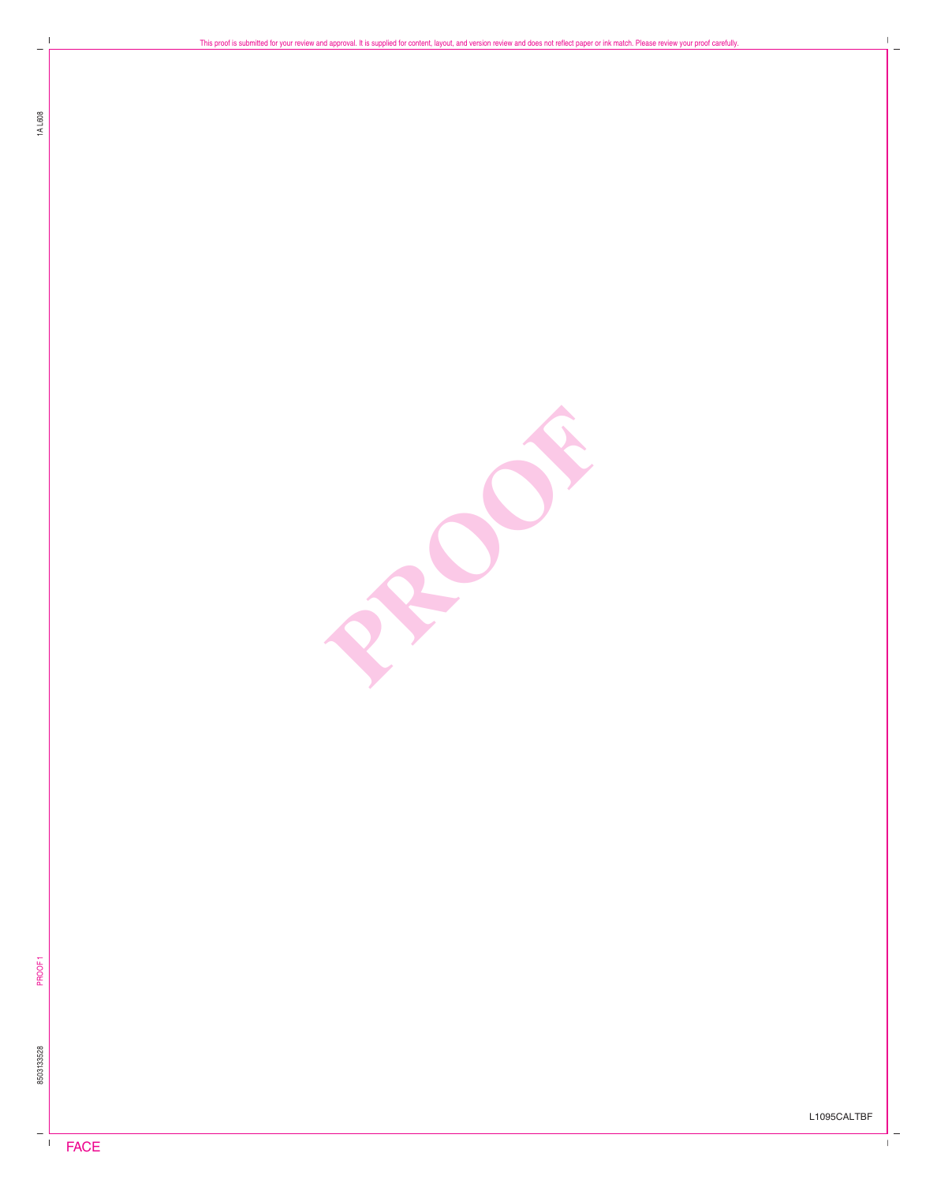$\mathbb I$ 

PROPERTY

PROOF1 8503133528

 $\overline{\phantom{0}}$ 

L1095CALTBF

 $\overline{\phantom{a}}$ 

 $\bar{\Gamma}$ 

 $\mathbf{I}$